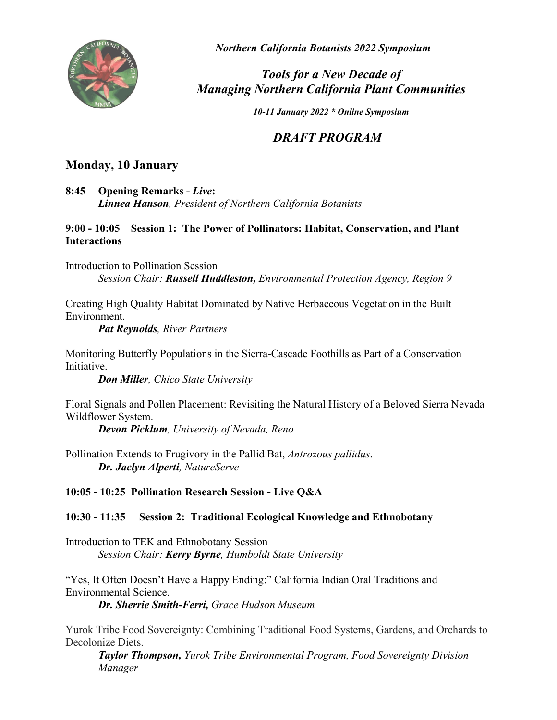

*Northern California Botanists 2022 Symposium*

# *Tools for a New Decade of Managing Northern California Plant Communities*

*10-11 January 2022 \* Online Symposium*

# *DRAFT PROGRAM*

# **Monday, 10 January**

**8:45 Opening Remarks -** *Live***:** *Linnea Hanson, President of Northern California Botanists*

## **9:00 - 10:05 Session 1: The Power of Pollinators: Habitat, Conservation, and Plant Interactions**

Introduction to Pollination Session *Session Chair: Russell Huddleston, Environmental Protection Agency, Region 9* 

Creating High Quality Habitat Dominated by Native Herbaceous Vegetation in the Built Environment.

*Pat Reynolds, River Partners*

Monitoring Butterfly Populations in the Sierra-Cascade Foothills as Part of a Conservation Initiative.

*Don Miller, Chico State University*

Floral Signals and Pollen Placement: Revisiting the Natural History of a Beloved Sierra Nevada Wildflower System.

*Devon Picklum, University of Nevada, Reno*

Pollination Extends to Frugivory in the Pallid Bat, *Antrozous pallidus*. *Dr. Jaclyn Alperti, NatureServe*

**10:05 - 10:25 Pollination Research Session - Live Q&A**

## **10:30 - 11:35 Session 2: Traditional Ecological Knowledge and Ethnobotany**

Introduction to TEK and Ethnobotany Session *Session Chair: Kerry Byrne, Humboldt State University*

"Yes, It Often Doesn't Have a Happy Ending:" California Indian Oral Traditions and Environmental Science. *Dr. Sherrie Smith-Ferri, Grace Hudson Museum*

Yurok Tribe Food Sovereignty: Combining Traditional Food Systems, Gardens, and Orchards to Decolonize Diets.

*Taylor Thompson, Yurok Tribe Environmental Program, Food Sovereignty Division Manager*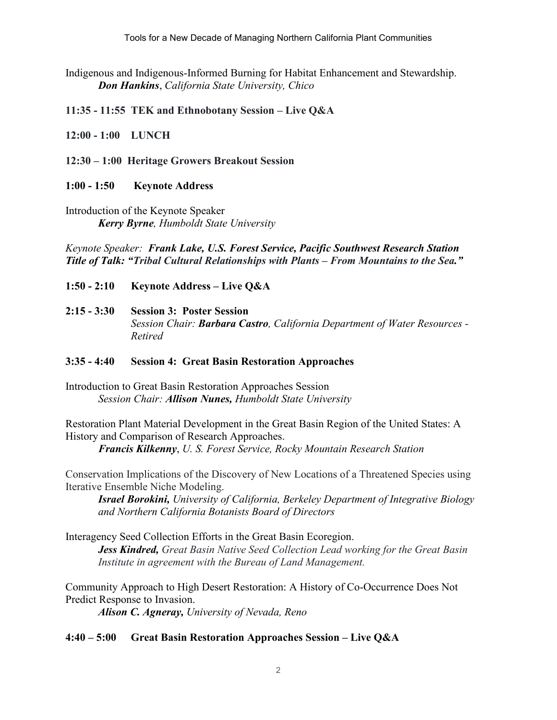Tools for a New Decade of Managing Northern California Plant Communities

Indigenous and Indigenous-Informed Burning for Habitat Enhancement and Stewardship. *Don Hankins*, *California State University, Chico*

**11:35 - 11:55 TEK and Ethnobotany Session – Live Q&A**

**12:00 - 1:00 LUNCH**

**12:30 – 1:00 Heritage Growers Breakout Session**

#### **1:00 - 1:50 Keynote Address**

Introduction of the Keynote Speaker *Kerry Byrne, Humboldt State University*

*Keynote Speaker:**Frank Lake, U.S. Forest Service, Pacific Southwest Research Station Title of Talk: "Tribal Cultural Relationships with Plants – From Mountains to the Sea."*

- **1:50 - 2:10 Keynote Address – Live Q&A**
- **2:15 - 3:30 Session 3: Poster Session**  *Session Chair: Barbara Castro, California Department of Water Resources - Retired*

#### **3:35 - 4:40 Session 4: Great Basin Restoration Approaches**

Introduction to Great Basin Restoration Approaches Session *Session Chair: Allison Nunes, Humboldt State University*

Restoration Plant Material Development in the Great Basin Region of the United States: A History and Comparison of Research Approaches.

*Francis Kilkenny*, *U. S. Forest Service, Rocky Mountain Research Station*

Conservation Implications of the Discovery of New Locations of a Threatened Species using Iterative Ensemble Niche Modeling.

*Israel Borokini, University of California, Berkeley Department of Integrative Biology and Northern California Botanists Board of Directors*

Interagency Seed Collection Efforts in the Great Basin Ecoregion. *Jess Kindred, Great Basin Native Seed Collection Lead working for the Great Basin Institute in agreement with the Bureau of Land Management.*

Community Approach to High Desert Restoration: A History of Co-Occurrence Does Not Predict Response to Invasion.

*Alison C. Agneray, University of Nevada, Reno*

#### **4:40 – 5:00 Great Basin Restoration Approaches Session – Live Q&A**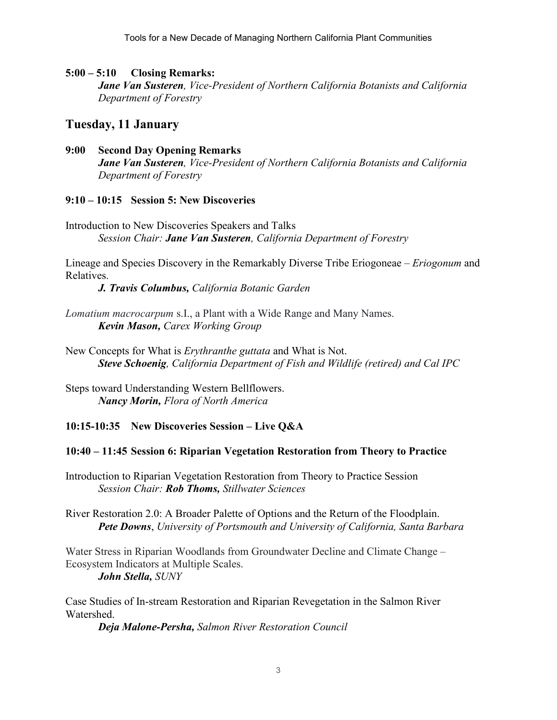### **5:00 – 5:10 Closing Remarks:**

*Jane Van Susteren, Vice-President of Northern California Botanists and California Department of Forestry*

# **Tuesday, 11 January**

**9:00 Second Day Opening Remarks** *Jane Van Susteren, Vice-President of Northern California Botanists and California Department of Forestry*

### **9:10 – 10:15 Session 5: New Discoveries**

Introduction to New Discoveries Speakers and Talks *Session Chair: Jane Van Susteren, California Department of Forestry*

Lineage and Species Discovery in the Remarkably Diverse Tribe Eriogoneae – *Eriogonum* and Relatives.

*J. Travis Columbus, California Botanic Garden*

*Lomatium macrocarpum* s.I., a Plant with a Wide Range and Many Names. *Kevin Mason, Carex Working Group*

New Concepts for What is *Erythranthe guttata* and What is Not. *Steve Schoenig, California Department of Fish and Wildlife (retired) and Cal IPC* 

Steps toward Understanding Western Bellflowers. *Nancy Morin, Flora of North America*

**10:15-10:35 New Discoveries Session – Live Q&A**

#### **10:40 – 11:45 Session 6: Riparian Vegetation Restoration from Theory to Practice**

Introduction to Riparian Vegetation Restoration from Theory to Practice Session *Session Chair: Rob Thoms, Stillwater Sciences*

River Restoration 2.0: A Broader Palette of Options and the Return of the Floodplain. *Pete Downs*, *University of Portsmouth and University of California, Santa Barbara*

Water Stress in Riparian Woodlands from Groundwater Decline and Climate Change – Ecosystem Indicators at Multiple Scales. *John Stella, SUNY*

Case Studies of In-stream Restoration and Riparian Revegetation in the Salmon River Watershed.

*Deja Malone-Persha, Salmon River Restoration Council*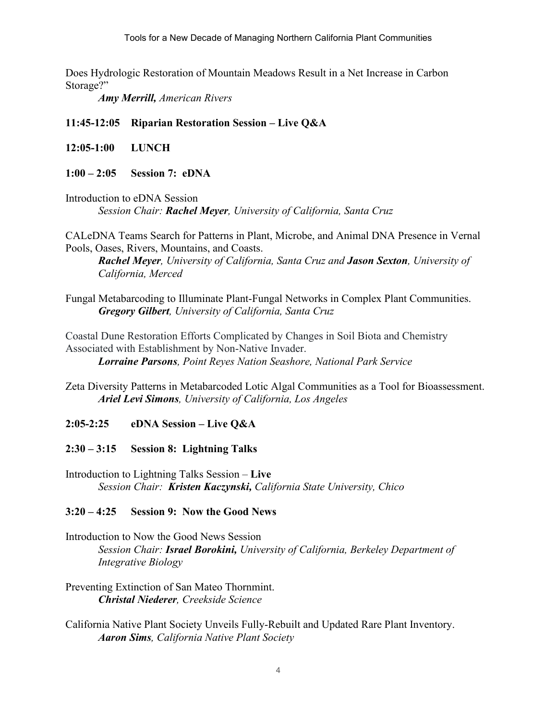Tools for a New Decade of Managing Northern California Plant Communities

Does Hydrologic Restoration of Mountain Meadows Result in a Net Increase in Carbon Storage?"

*Amy Merrill, American Rivers*

**11:45-12:05 Riparian Restoration Session – Live Q&A**

- **12:05-1:00 LUNCH**
- **1:00 – 2:05 Session 7: eDNA**
- Introduction to eDNA Session *Session Chair: Rachel Meyer, University of California, Santa Cruz*

CALeDNA Teams Search for Patterns in Plant, Microbe, and Animal DNA Presence in Vernal Pools, Oases, Rivers, Mountains, and Coasts.

*Rachel Meyer, University of California, Santa Cruz and Jason Sexton, University of California, Merced*

Fungal Metabarcoding to Illuminate Plant-Fungal Networks in Complex Plant Communities. *Gregory Gilbert, University of California, Santa Cruz*

Coastal Dune Restoration Efforts Complicated by Changes in Soil Biota and Chemistry Associated with Establishment by Non-Native Invader. *Lorraine Parsons, Point Reyes Nation Seashore, National Park Service*

Zeta Diversity Patterns in Metabarcoded Lotic Algal Communities as a Tool for Bioassessment. *Ariel Levi Simons, University of California, Los Angeles*

- **2:05-2:25 eDNA Session – Live Q&A**
- **2:30 – 3:15 Session 8: Lightning Talks**

Introduction to Lightning Talks Session – **Live** *Session Chair: Kristen Kaczynski, California State University, Chico*

#### **3:20 – 4:25 Session 9: Now the Good News**

Introduction to Now the Good News Session *Session Chair: Israel Borokini, University of California, Berkeley Department of Integrative Biology*

- Preventing Extinction of San Mateo Thornmint. *Christal Niederer, Creekside Science*
- California Native Plant Society Unveils Fully-Rebuilt and Updated Rare Plant Inventory. *Aaron Sims, California Native Plant Society*